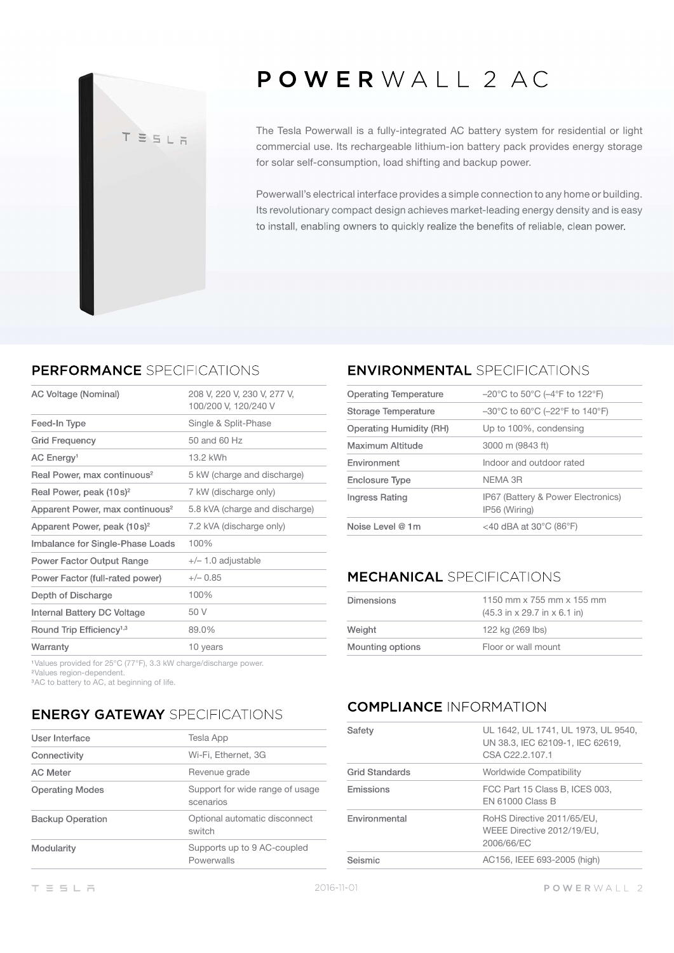# TESLA

## POWERWALL 2 AC

The Tesla Powerwall is a fully-integrated AC battery system for residential or light commercial use. Its rechargeable lithium-ion battery pack provides energy storage for solar self-consumption, load shifting and backup power.

Powerwall's electrical interface provides a simple connection to any home or building. Its revolutionary compact design achieves market-leading energy density and is easy to install, enabling owners to quickly realize the benefits of reliable, clean power.

### PERFORMANCE SPECIFICATIONS

| AC Voltage (Nominal)                        | 208 V, 220 V, 230 V, 277 V,<br>100/200 V, 120/240 V |
|---------------------------------------------|-----------------------------------------------------|
| Feed-In Type                                | Single & Split-Phase                                |
| Grid Frequency                              | 50 and 60 Hz                                        |
| AC Energy <sup>1</sup>                      | 13.2 kWh                                            |
| Real Power, max continuous <sup>2</sup>     | 5 kW (charge and discharge)                         |
| Real Power, peak $(10s)^2$                  | 7 kW (discharge only)                               |
| Apparent Power, max continuous <sup>2</sup> | 5.8 kVA (charge and discharge)                      |
| Apparent Power, peak (10s) <sup>2</sup>     | 7.2 kVA (discharge only)                            |
| Imbalance for Single-Phase Loads            | 100%                                                |
| Power Factor Output Range                   | $+/- 1.0$ adjustable                                |
| Power Factor (full-rated power)             | $+/- 0.85$                                          |
| Depth of Discharge                          | 100%                                                |
| Internal Battery DC Voltage                 | 50 V                                                |
| Round Trip Efficiency <sup>1,3</sup>        | 89.0%                                               |
| Warranty                                    | 10 years                                            |

Values provided for 25°C (77°F), 3.3 kW charge/discharge power.

Values region-dependent.

<sup>3</sup>AC to battery to AC, at beginning of life.

### **ENERGY GATEWAY SPECIFICATIONS**

| User Interface          | Tesla App                                    |
|-------------------------|----------------------------------------------|
| Connectivity            | Wi-Fi, Ethernet, 3G                          |
| <b>AC Meter</b>         | Revenue grade                                |
| <b>Operating Modes</b>  | Support for wide range of usage<br>scenarios |
| <b>Backup Operation</b> | Optional automatic disconnect<br>switch      |
| Modularity              | Supports up to 9 AC-coupled<br>Powerwalls    |

### **ENVIRONMENTAL SPECIFICATIONS**

| <b>Operating Temperature</b> | $-20^{\circ}$ C to 50 $^{\circ}$ C ( $-4^{\circ}$ F to 122 $^{\circ}$ F)  |
|------------------------------|---------------------------------------------------------------------------|
| Storage Temperature          | $-30^{\circ}$ C to 60 $^{\circ}$ C ( $-22^{\circ}$ F to 140 $^{\circ}$ F) |
| Operating Humidity (RH)      | Up to 100%, condensing                                                    |
| Maximum Altitude             | 3000 m (9843 ft)                                                          |
| Environment                  | Indoor and outdoor rated                                                  |
| Enclosure Type               | NFMA 3R                                                                   |
| Ingress Rating               | IP67 (Battery & Power Electronics)<br>IP56 (Wiring)                       |
| Noise Level @ 1m             | <40 dBA at 30 $^{\circ}$ C (86 $^{\circ}$ F)                              |
|                              |                                                                           |

### **MECHANICAL SPECIFICATIONS**

| <b>Dimensions</b> | 1150 mm x 755 mm x 155 mm                                        |
|-------------------|------------------------------------------------------------------|
|                   | $(45.3 \text{ in} \times 29.7 \text{ in} \times 6.1 \text{ in})$ |
| Weight            | 122 kg (269 lbs)                                                 |
| Mounting options  | Floor or wall mount                                              |

### **COMPLIANCE INFORMATION**

| Safetv         | UL 1642, UL 1741, UL 1973, UL 9540,<br>UN 38.3, IEC 62109-1, IEC 62619,<br>CSA C22.2.107.1 |
|----------------|--------------------------------------------------------------------------------------------|
| Grid Standards | Worldwide Compatibility                                                                    |
| Emissions      | FCC Part 15 Class B, ICES 003,<br><b>EN 61000 Class B</b>                                  |
| Environmental  | RoHS Directive 2011/65/EU,<br>WEEE Directive 2012/19/EU.<br>2006/66/EC                     |
| Seismic        | AC156, IEEE 693-2005 (high)                                                                |
|                |                                                                                            |